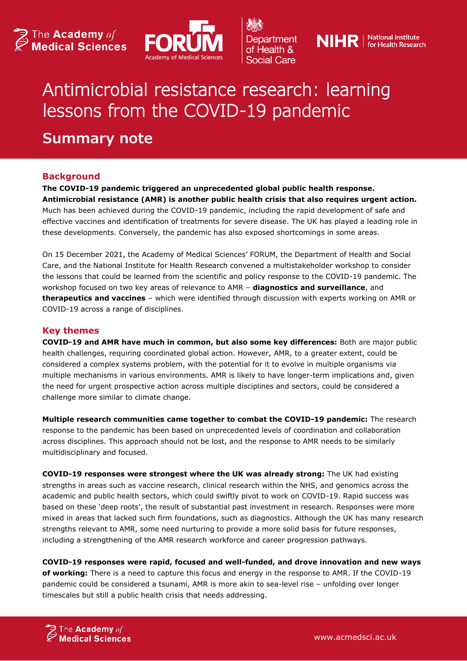



Department of Health & Social Care



# Antimicrobial resistance research: learning lessons from the COVID-19 pandemic

## **Summary note**

## **Background**

**The COVID-19 pandemic triggered an unprecedented global public health response. Antimicrobial resistance (AMR) is another public health crisis that also requires urgent action.** Much has been achieved during the COVID-19 pandemic, including the rapid development of safe and effective vaccines and identification of treatments for severe disease. The UK has played a leading role in these developments. Conversely, the pandemic has also exposed shortcomings in some areas.

On 15 December 2021, the Academy of Medical Sciences' FORUM, the Department of Health and Social Care, and the National Institute for Health Research convened a multistakeholder workshop to consider the lessons that could be learned from the scientific and policy response to the COVID-19 pandemic. The workshop focused on two key areas of relevance to AMR – **diagnostics and surveillance**, and **therapeutics and vaccines** – which were identified through discussion with experts working on AMR or COVID-19 across a range of disciplines.

#### **Key themes**

**COVID-19 and AMR have much in common, but also some key differences:** Both are major public health challenges, requiring coordinated global action. However, AMR, to a greater extent, could be considered a complex systems problem, with the potential for it to evolve in multiple organisms via multiple mechanisms in various environments. AMR is likely to have longer-term implications and, given the need for urgent prospective action across multiple disciplines and sectors, could be considered a challenge more similar to climate change.

**Multiple research communities came together to combat the COVID-19 pandemic:** The research response to the pandemic has been based on unprecedented levels of coordination and collaboration across disciplines. This approach should not be lost, and the response to AMR needs to be similarly multidisciplinary and focused.

**COVID-19 responses were strongest where the UK was already strong:** The UK had existing strengths in areas such as vaccine research, clinical research within the NHS, and genomics across the academic and public health sectors, which could swiftly pivot to work on COVID-19. Rapid success was based on these 'deep roots', the result of substantial past investment in research. Responses were more mixed in areas that lacked such firm foundations, such as diagnostics. Although the UK has many research strengths relevant to AMR, some need nurturing to provide a more solid basis for future responses, including a strengthening of the AMR research workforce and career progression pathways.

**COVID-19 responses were rapid, focused and well-funded, and drove innovation and new ways of working:** There is a need to capture this focus and energy in the response to AMR. If the COVID-19 pandemic could be considered a tsunami, AMR is more akin to sea-level rise – unfolding over longer timescales but still a public health crisis that needs addressing.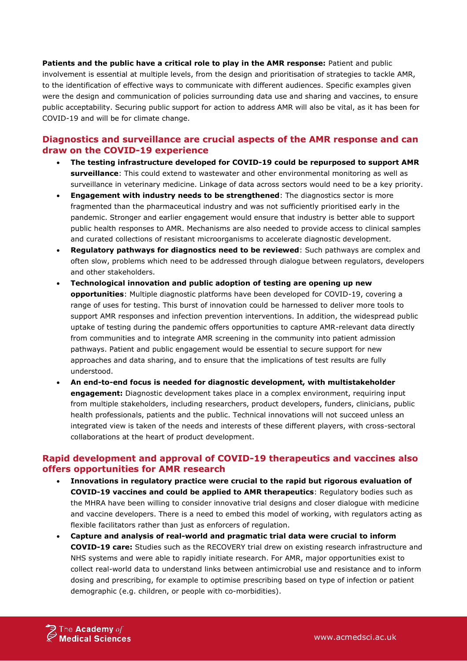**Patients and the public have a critical role to play in the AMR response:** Patient and public involvement is essential at multiple levels, from the design and prioritisation of strategies to tackle AMR, to the identification of effective ways to communicate with different audiences. Specific examples given were the design and communication of policies surrounding data use and sharing and vaccines, to ensure public acceptability. Securing public support for action to address AMR will also be vital, as it has been for COVID-19 and will be for climate change.

## **Diagnostics and surveillance are crucial aspects of the AMR response and can draw on the COVID-19 experience**

- **The testing infrastructure developed for COVID-19 could be repurposed to support AMR surveillance**: This could extend to wastewater and other environmental monitoring as well as surveillance in veterinary medicine. Linkage of data across sectors would need to be a key priority.
- **Engagement with industry needs to be strengthened**: The diagnostics sector is more fragmented than the pharmaceutical industry and was not sufficiently prioritised early in the pandemic. Stronger and earlier engagement would ensure that industry is better able to support public health responses to AMR. Mechanisms are also needed to provide access to clinical samples and curated collections of resistant microorganisms to accelerate diagnostic development.
- **Regulatory pathways for diagnostics need to be reviewed**: Such pathways are complex and often slow, problems which need to be addressed through dialogue between regulators, developers and other stakeholders.
- **Technological innovation and public adoption of testing are opening up new opportunities**: Multiple diagnostic platforms have been developed for COVID-19, covering a range of uses for testing. This burst of innovation could be harnessed to deliver more tools to support AMR responses and infection prevention interventions. In addition, the widespread public uptake of testing during the pandemic offers opportunities to capture AMR-relevant data directly from communities and to integrate AMR screening in the community into patient admission pathways. Patient and public engagement would be essential to secure support for new approaches and data sharing, and to ensure that the implications of test results are fully understood.
- **An end-to-end focus is needed for diagnostic development, with multistakeholder engagement:** Diagnostic development takes place in a complex environment, requiring input from multiple stakeholders, including researchers, product developers, funders, clinicians, public health professionals, patients and the public. Technical innovations will not succeed unless an integrated view is taken of the needs and interests of these different players, with cross-sectoral collaborations at the heart of product development.

## **Rapid development and approval of COVID-19 therapeutics and vaccines also offers opportunities for AMR research**

- **Innovations in regulatory practice were crucial to the rapid but rigorous evaluation of COVID-19 vaccines and could be applied to AMR therapeutics**: Regulatory bodies such as the MHRA have been willing to consider innovative trial designs and closer dialogue with medicine and vaccine developers. There is a need to embed this model of working, with regulators acting as flexible facilitators rather than just as enforcers of regulation.
- **Capture and analysis of real-world and pragmatic trial data were crucial to inform COVID-19 care:** Studies such as the RECOVERY trial drew on existing research infrastructure and NHS systems and were able to rapidly initiate research. For AMR, major opportunities exist to collect real-world data to understand links between antimicrobial use and resistance and to inform dosing and prescribing, for example to optimise prescribing based on type of infection or patient demographic (e.g. children, or people with co-morbidities).